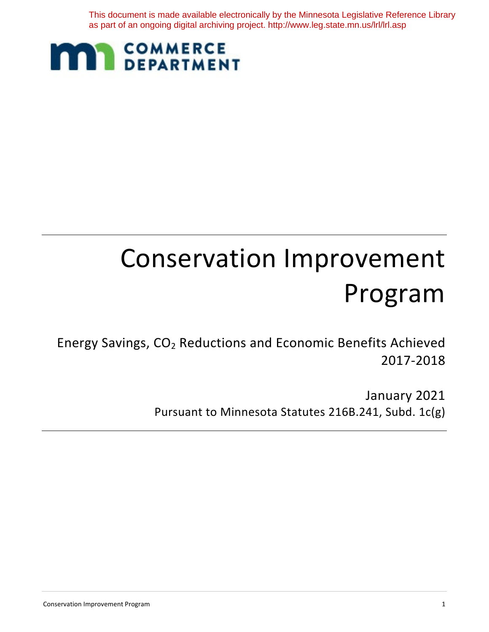This document is made available electronically by the Minnesota Legislative Reference Library as part of an ongoing digital archiving project. http://www.leg.state.mn.us/lrl/lrl.asp



# Conservation Improvement Program

Energy Savings, CO2 Reductions and Economic Benefits Achieved 2017-2018

> January 2021 Pursuant to Minnesota Statutes 216B.241, Subd. 1c(g)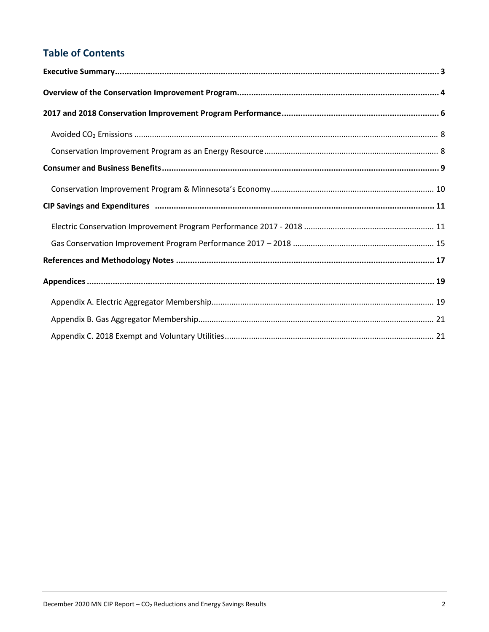### **Table of Contents**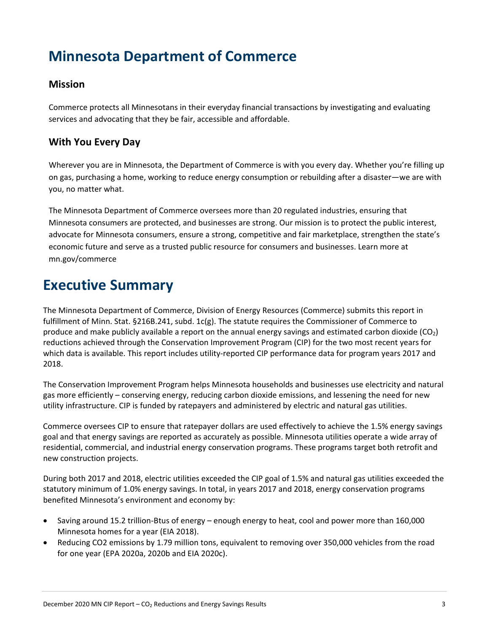# <span id="page-2-0"></span>**Minnesota Department of Commerce**

### **Mission**

Commerce protects all Minnesotans in their everyday financial transactions by investigating and evaluating services and advocating that they be fair, accessible and affordable.

### **With You Every Day**

Wherever you are in Minnesota, the Department of Commerce is with you every day. Whether you're filling up on gas, purchasing a home, working to reduce energy consumption or rebuilding after a disaster—we are with you, no matter what.

The Minnesota Department of Commerce oversees more than 20 regulated industries, ensuring that Minnesota consumers are protected, and businesses are strong. Our mission is to protect the public interest, advocate for Minnesota consumers, ensure a strong, competitive and fair marketplace, strengthen the state's economic future and serve as a trusted public resource for consumers and businesses. Learn more at mn.gov/commerce

# **Executive Summary**

The Minnesota Department of Commerce, Division of Energy Resources (Commerce) submits this report in fulfillment of Minn. Stat. §216B.241, subd. 1c(g). The statute requires the Commissioner of Commerce to produce and make publicly available a report on the annual energy savings and estimated carbon dioxide  $(CO_2)$ reductions achieved through the Conservation Improvement Program (CIP) for the two most recent years for which data is available. This report includes utility-reported CIP performance data for program years 2017 and 2018.

The Conservation Improvement Program helps Minnesota households and businesses use electricity and natural gas more efficiently – conserving energy, reducing carbon dioxide emissions, and lessening the need for new utility infrastructure. CIP is funded by ratepayers and administered by electric and natural gas utilities.

Commerce oversees CIP to ensure that ratepayer dollars are used effectively to achieve the 1.5% energy savings goal and that energy savings are reported as accurately as possible. Minnesota utilities operate a wide array of residential, commercial, and industrial energy conservation programs. These programs target both retrofit and new construction projects.

During both 2017 and 2018, electric utilities exceeded the CIP goal of 1.5% and natural gas utilities exceeded the statutory minimum of 1.0% energy savings. In total, in years 2017 and 2018, energy conservation programs benefited Minnesota's environment and economy by:

- Saving around 15.2 trillion-Btus of energy enough energy to heat, cool and power more than 160,000 Minnesota homes for a year (EIA 2018).
- Reducing CO2 emissions by 1.79 million tons, equivalent to removing over 350,000 vehicles from the road for one year (EPA 2020a, 2020b and EIA 2020c).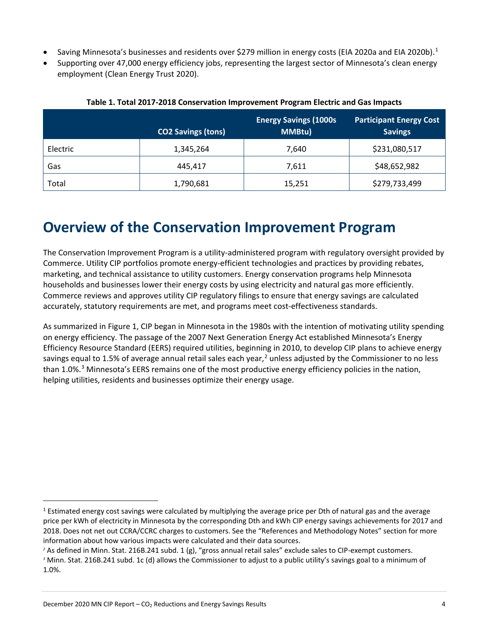- Saving Minnesota's businesses and residents over \$279 million in energy costs (EIA 2020a and EIA 2020b).<sup>[1](#page-3-1)</sup>
- Supporting over 47,000 energy efficiency jobs, representing the largest sector of Minnesota's clean energy employment (Clean Energy Trust 2020).

|          | <b>CO2 Savings (tons)</b> | <b>Energy Savings (1000s</b><br>MMBtu) | <b>Participant Energy Cost</b><br><b>Savings</b> |
|----------|---------------------------|----------------------------------------|--------------------------------------------------|
| Electric | 1,345,264                 | 7,640                                  | \$231,080,517                                    |
| Gas      | 445.417                   | 7,611                                  | \$48,652,982                                     |
| Total    | 1,790,681                 | 15,251                                 | \$279,733,499                                    |

### **Table 1. Total 2017-2018 Conservation Improvement Program Electric and Gas Impacts**

# <span id="page-3-0"></span>**Overview of the Conservation Improvement Program**

The Conservation Improvement Program is a utility-administered program with regulatory oversight provided by Commerce. Utility CIP portfolios promote energy-efficient technologies and practices by providing rebates, marketing, and technical assistance to utility customers. Energy conservation programs help Minnesota households and businesses lower their energy costs by using electricity and natural gas more efficiently. Commerce reviews and approves utility CIP regulatory filings to ensure that energy savings are calculated accurately, statutory requirements are met, and programs meet cost-effectiveness standards.

As summarized in Figure 1, CIP began in Minnesota in the 1980s with the intention of motivating utility spending on energy efficiency. The passage of the 2007 Next Generation Energy Act established Minnesota's Energy Efficiency Resource Standard (EERS) required utilities, beginning in 2010, to develop CIP plans to achieve energy savings equal to 1.5% of average annual retail sales each year,<sup>[2](#page-3-2)</sup> unless adjusted by the Commissioner to no less than 1.0%.<sup>[3](#page-3-3)</sup> Minnesota's EERS remains one of the most productive energy efficiency policies in the nation, helping utilities, residents and businesses optimize their energy usage.

<span id="page-3-1"></span><sup>&</sup>lt;sup>1</sup> Estimated energy cost savings were calculated by multiplying the average price per Dth of natural gas and the average price per kWh of electricity in Minnesota by the corresponding Dth and kWh CIP energy savings achievements for 2017 and 2018. Does not net out CCRA/CCRC charges to customers. See the "References and Methodology Notes" section for more information about how various impacts were calculated and their data sources.

<span id="page-3-2"></span><sup>&</sup>lt;sup>2</sup> As defined in Minn. Stat. 216B.241 subd. 1 (g), "gross annual retail sales" exclude sales to CIP-exempt customers.

<span id="page-3-3"></span>*<sup>3</sup>* Minn. Stat. 216B.241 subd. 1c (d) allows the Commissioner to adjust to a public utility's savings goal to a minimum of 1.0%.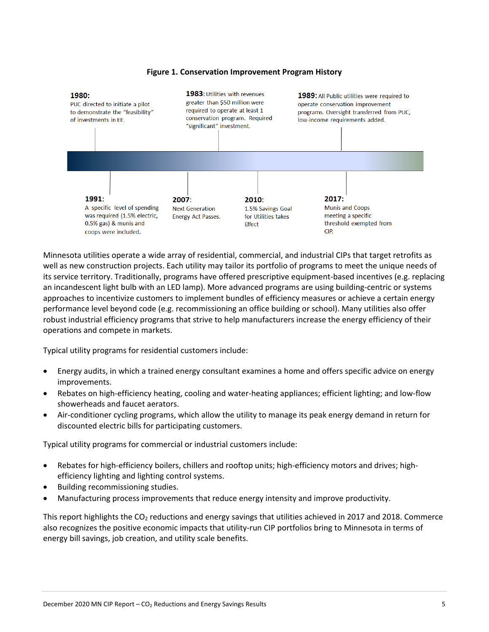

#### **Figure 1. Conservation Improvement Program History**

Minnesota utilities operate a wide array of residential, commercial, and industrial CIPs that target retrofits as well as new construction projects. Each utility may tailor its portfolio of programs to meet the unique needs of its service territory. Traditionally, programs have offered prescriptive equipment-based incentives (e.g. replacing an incandescent light bulb with an LED lamp). More advanced programs are using building-centric or systems approaches to incentivize customers to implement bundles of efficiency measures or achieve a certain energy performance level beyond code (e.g. recommissioning an office building or school). Many utilities also offer robust industrial efficiency programs that strive to help manufacturers increase the energy efficiency of their operations and compete in markets.

Typical utility programs for residential customers include:

- Energy audits, in which a trained energy consultant examines a home and offers specific advice on energy improvements.
- Rebates on high-efficiency heating, cooling and water-heating appliances; efficient lighting; and low-flow showerheads and faucet aerators.
- Air-conditioner cycling programs, which allow the utility to manage its peak energy demand in return for discounted electric bills for participating customers.

Typical utility programs for commercial or industrial customers include:

- Rebates for high-efficiency boilers, chillers and rooftop units; high-efficiency motors and drives; highefficiency lighting and lighting control systems.
- Building recommissioning studies.
- Manufacturing process improvements that reduce energy intensity and improve productivity.

This report highlights the  $CO<sub>2</sub>$  reductions and energy savings that utilities achieved in 2017 and 2018. Commerce also recognizes the positive economic impacts that utility-run CIP portfolios bring to Minnesota in terms of energy bill savings, job creation, and utility scale benefits.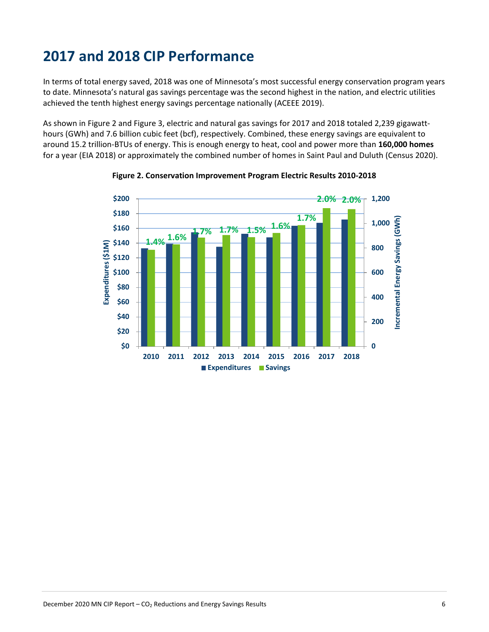# <span id="page-5-0"></span>**2017 and 2018 CIP Performance**

In terms of total energy saved, 2018 was one of Minnesota's most successful energy conservation program years to date. Minnesota's natural gas savings percentage was the second highest in the nation, and electric utilities achieved the tenth highest energy savings percentage nationally (ACEEE 2019).

As shown in Figure 2 and Figure 3, electric and natural gas savings for 2017 and 2018 totaled 2,239 gigawatthours (GWh) and 7.6 billion cubic feet (bcf), respectively. Combined, these energy savings are equivalent to around 15.2 trillion-BTUs of energy. This is enough energy to heat, cool and power more than **160,000 homes** for a year (EIA 2018) or approximately the combined number of homes in Saint Paul and Duluth (Census 2020).



**Figure 2. Conservation Improvement Program Electric Results 2010-2018**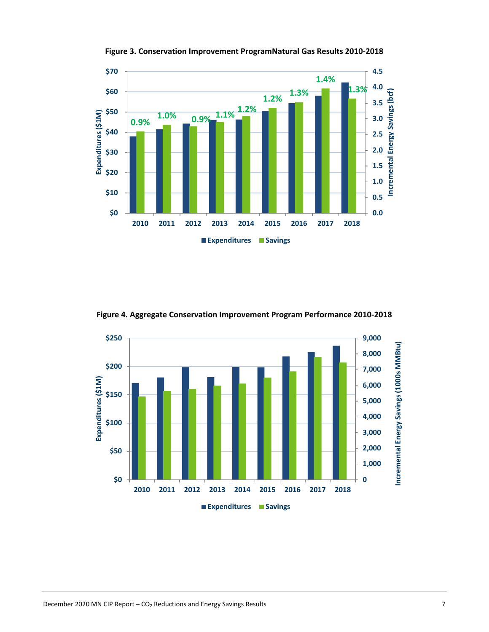

**Figure 3. Conservation Improvement ProgramNatural Gas Results 2010-2018**

**Figure 4. Aggregate Conservation Improvement Program Performance 2010-2018**

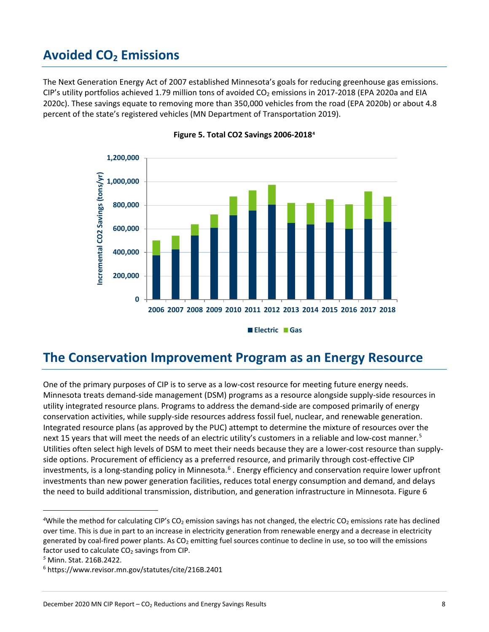### <span id="page-7-0"></span>**Avoided CO<sub>2</sub> Emissions**

The Next Generation Energy Act of 2007 established Minnesota's goals for reducing greenhouse gas emissions. CIP's utility portfolios achieved 1.79 million tons of avoided  $CO<sub>2</sub>$  emissions in 2017-2018 (EPA 2020a and EIA 2020c). These savings equate to removing more than 350,000 vehicles from the road (EPA 2020b) or about 4.8 percent of the state's registered vehicles (MN Department of Transportation 2019).





### <span id="page-7-1"></span>**The Conservation Improvement Program as an Energy Resource**

One of the primary purposes of CIP is to serve as a low-cost resource for meeting future energy needs. Minnesota treats demand-side management (DSM) programs as a resource alongside supply-side resources in utility integrated resource plans. Programs to address the demand-side are composed primarily of energy conservation activities, while supply-side resources address fossil fuel, nuclear, and renewable generation. Integrated resource plans (as approved by the PUC) attempt to determine the mixture of resources over the next 1[5](#page-7-3) years that will meet the needs of an electric utility's customers in a reliable and low-cost manner.<sup>5</sup> Utilities often select high levels of DSM to meet their needs because they are a lower-cost resource than supplyside options. Procurement of efficiency as a preferred resource, and primarily through cost-effective CIP investments, is a long-standing policy in Minnesota.<sup>[6](#page-7-4)</sup>. Energy efficiency and conservation require lower upfront investments than new power generation facilities, reduces total energy consumption and demand, and delays the need to build additional transmission, distribution, and generation infrastructure in Minnesota. Figure 6

<span id="page-7-2"></span><sup>&</sup>lt;sup>4</sup>While the method for calculating CIP's CO<sub>2</sub> emission savings has not changed, the electric CO<sub>2</sub> emissions rate has declined over time. This is due in part to an increase in electricity generation from renewable energy and a decrease in electricity generated by coal-fired power plants. As  $CO<sub>2</sub>$  emitting fuel sources continue to decline in use, so too will the emissions factor used to calculate CO<sub>2</sub> savings from CIP.

<span id="page-7-3"></span>*<sup>5</sup>* Minn. Stat. 216B.2422.

<span id="page-7-4"></span><sup>6</sup> https://www.revisor.mn.gov/statutes/cite/216B.2401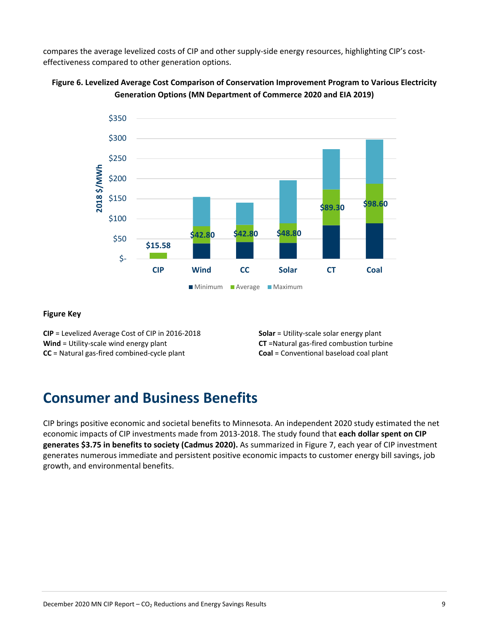compares the average levelized costs of CIP and other supply-side energy resources, highlighting CIP's costeffectiveness compared to other generation options.





#### **Figure Key**

**CIP** = Levelized Average Cost of CIP in 2016-2018 **Wind** = Utility-scale wind energy plant **CC** = Natural gas-fired combined-cycle plant

**Solar** = Utility-scale solar energy plant **CT** =Natural gas-fired combustion turbine **Coal** = Conventional baseload coal plant

### <span id="page-8-0"></span>**Consumer and Business Benefits**

CIP brings positive economic and societal benefits to Minnesota. An independent 2020 study estimated the net economic impacts of CIP investments made from 2013-2018. The study found that **each dollar spent on CIP generates \$3.75 in benefits to society (Cadmus 2020).** As summarized in Figure 7, each year of CIP investment generates numerous immediate and persistent positive economic impacts to customer energy bill savings, job growth, and environmental benefits.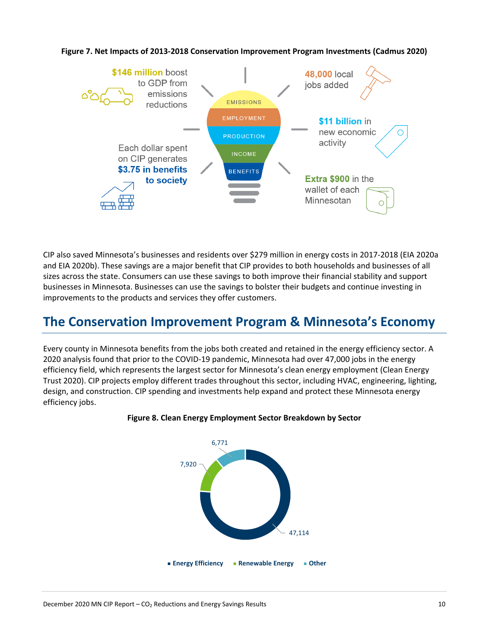

**Figure 7. Net Impacts of 2013-2018 Conservation Improvement Program Investments (Cadmus 2020)**

CIP also saved Minnesota's businesses and residents over \$279 million in energy costs in 2017-2018 (EIA 2020a and EIA 2020b). These savings are a major benefit that CIP provides to both households and businesses of all sizes across the state. Consumers can use these savings to both improve their financial stability and support businesses in Minnesota. Businesses can use the savings to bolster their budgets and continue investing in improvements to the products and services they offer customers.

# <span id="page-9-0"></span>**The Conservation Improvement Program & Minnesota's Economy**

Every county in Minnesota benefits from the jobs both created and retained in the energy efficiency sector. A 2020 analysis found that prior to the COVID-19 pandemic, Minnesota had over 47,000 jobs in the energy efficiency field, which represents the largest sector for Minnesota's clean energy employment (Clean Energy Trust 2020). CIP projects employ different trades throughout this sector, including HVAC, engineering, lighting, design, and construction. CIP spending and investments help expand and protect these Minnesota energy efficiency jobs.



#### **Figure 8. Clean Energy Employment Sector Breakdown by Sector**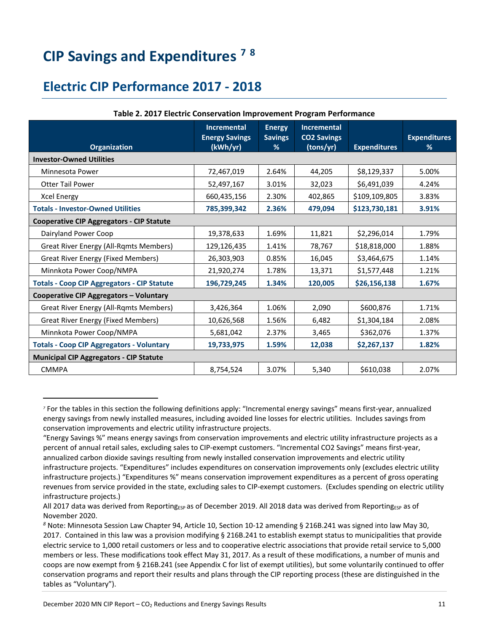# <span id="page-10-0"></span>**CIP Savings and Expenditures [7](#page-10-2) [8](#page-10-3)**

### <span id="page-10-1"></span>**Electric CIP Performance 2017 - 2018**

|                                                    | <b>Incremental</b><br><b>Energy Savings</b> | <b>Energy</b><br><b>Savings</b> | <b>Incremental</b><br><b>CO2 Savings</b> |                     | <b>Expenditures</b> |
|----------------------------------------------------|---------------------------------------------|---------------------------------|------------------------------------------|---------------------|---------------------|
| <b>Organization</b>                                | (kWh/yr)                                    | %                               | (tons/yr)                                | <b>Expenditures</b> | %                   |
| <b>Investor-Owned Utilities</b>                    |                                             |                                 |                                          |                     |                     |
| Minnesota Power                                    | 72,467,019                                  | 2.64%                           | 44,205                                   | \$8,129,337         | 5.00%               |
| <b>Otter Tail Power</b>                            | 52,497,167                                  | 3.01%                           | 32,023                                   | \$6,491,039         | 4.24%               |
| <b>Xcel Energy</b>                                 | 660,435,156                                 | 2.30%                           | 402,865                                  | \$109,109,805       | 3.83%               |
| <b>Totals - Investor-Owned Utilities</b>           | 785,399,342                                 | 2.36%                           | 479,094                                  | \$123,730,181       | 3.91%               |
| <b>Cooperative CIP Aggregators - CIP Statute</b>   |                                             |                                 |                                          |                     |                     |
| Dairyland Power Coop                               | 19,378,633                                  | 1.69%                           | 11,821                                   | \$2,296,014         | 1.79%               |
| <b>Great River Energy (All-Rqmts Members)</b>      | 129,126,435                                 | 1.41%                           | 78,767                                   | \$18,818,000        | 1.88%               |
| <b>Great River Energy (Fixed Members)</b>          | 26,303,903                                  | 0.85%                           | 16,045                                   | \$3,464,675         | 1.14%               |
| Minnkota Power Coop/NMPA                           | 21,920,274                                  | 1.78%                           | 13,371                                   | \$1,577,448         | 1.21%               |
| <b>Totals - Coop CIP Aggregators - CIP Statute</b> | 196,729,245                                 | 1.34%                           | 120,005                                  | \$26,156,138        | 1.67%               |
| Cooperative CIP Aggregators - Voluntary            |                                             |                                 |                                          |                     |                     |
| <b>Great River Energy (All-Rqmts Members)</b>      | 3,426,364                                   | 1.06%                           | 2,090                                    | \$600,876           | 1.71%               |
| <b>Great River Energy (Fixed Members)</b>          | 10,626,568                                  | 1.56%                           | 6,482                                    | \$1,304,184         | 2.08%               |
| Minnkota Power Coop/NMPA                           | 5,681,042                                   | 2.37%                           | 3,465                                    | \$362,076           | 1.37%               |
| <b>Totals - Coop CIP Aggregators - Voluntary</b>   | 19,733,975                                  | 1.59%                           | 12,038                                   | \$2,267,137         | 1.82%               |
| <b>Municipal CIP Aggregators - CIP Statute</b>     |                                             |                                 |                                          |                     |                     |
| <b>CMMPA</b>                                       | 8,754,524                                   | 3.07%                           | 5,340                                    | \$610.038           | 2.07%               |

### **Table 2. 2017 Electric Conservation Improvement Program Performance**

<span id="page-10-2"></span>*<sup>7</sup>* For the tables in this section the following definitions apply: "Incremental energy savings" means first-year, annualized energy savings from newly installed measures, including avoided line losses for electric utilities. Includes savings from conservation improvements and electric utility infrastructure projects.

<sup>&</sup>quot;Energy Savings %" means energy savings from conservation improvements and electric utility infrastructure projects as a percent of annual retail sales, excluding sales to CIP-exempt customers. "Incremental CO2 Savings" means first-year, annualized carbon dioxide savings resulting from newly installed conservation improvements and electric utility infrastructure projects. "Expenditures" includes expenditures on conservation improvements only (excludes electric utility infrastructure projects.) "Expenditures %" means conservation improvement expenditures as a percent of gross operating revenues from service provided in the state, excluding sales to CIP-exempt customers. (Excludes spending on electric utility infrastructure projects.)

All 2017 data was derived from Reporting<sub>ESP</sub> as of December 2019. All 2018 data was derived from Reporting<sub>ESP</sub> as of November 2020.

<span id="page-10-3"></span>*<sup>8</sup>* Note: Minnesota Session Law Chapter 94, Article 10, Section 10-12 amending § 216B.241 was signed into law May 30, 2017. Contained in this law was a provision modifying § 216B.241 to establish exempt status to municipalities that provide electric service to 1,000 retail customers or less and to cooperative electric associations that provide retail service to 5,000 members or less. These modifications took effect May 31, 2017. As a result of these modifications, a number of munis and coops are now exempt from § 216B.241 (see Appendix C for list of exempt utilities), but some voluntarily continued to offer conservation programs and report their results and plans through the CIP reporting process (these are distinguished in the tables as "Voluntary").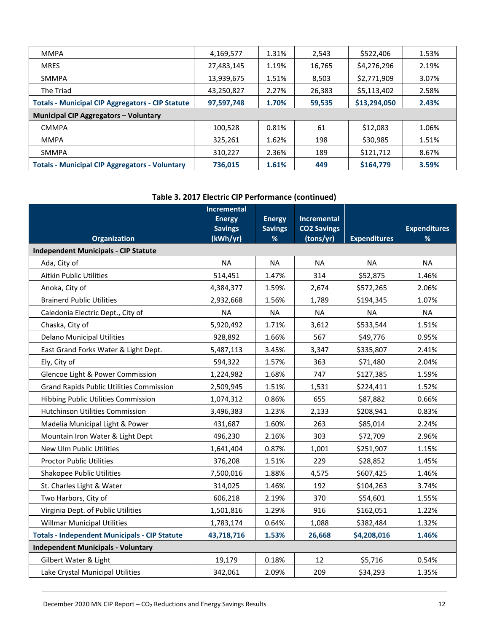| <b>MMPA</b>                                             | 4,169,577  | 1.31% | 2,543  | \$522,406    | 1.53% |
|---------------------------------------------------------|------------|-------|--------|--------------|-------|
| <b>MRES</b>                                             | 27,483,145 | 1.19% | 16,765 | \$4,276,296  | 2.19% |
| <b>SMMPA</b>                                            | 13,939,675 | 1.51% | 8,503  | \$2,771,909  | 3.07% |
| The Triad                                               | 43,250,827 | 2.27% | 26,383 | \$5,113,402  | 2.58% |
| <b>Totals - Municipal CIP Aggregators - CIP Statute</b> | 97,597,748 | 1.70% | 59,535 | \$13,294,050 | 2.43% |
| <b>Municipal CIP Aggregators - Voluntary</b>            |            |       |        |              |       |
| <b>CMMPA</b>                                            | 100,528    | 0.81% | 61     | \$12,083     | 1.06% |
| <b>MMPA</b>                                             | 325,261    | 1.62% | 198    | \$30,985     | 1.51% |
| <b>SMMPA</b>                                            | 310,227    | 2.36% | 189    | \$121,712    | 8.67% |
| <b>Totals - Municipal CIP Aggregators - Voluntary</b>   | 736,015    | 1.61% | 449    | \$164,779    | 3.59% |

### **Table 3. 2017 Electric CIP Performance (continued)**

| <b>Organization</b>                                  | <b>Incremental</b><br><b>Energy</b><br><b>Savings</b><br>(kWh/yr) | <b>Energy</b><br><b>Savings</b><br>% | <b>Incremental</b><br><b>CO2 Savings</b><br>(tons/yr) | <b>Expenditures</b> | <b>Expenditures</b><br>% |
|------------------------------------------------------|-------------------------------------------------------------------|--------------------------------------|-------------------------------------------------------|---------------------|--------------------------|
| <b>Independent Municipals - CIP Statute</b>          |                                                                   |                                      |                                                       |                     |                          |
| Ada, City of                                         | <b>NA</b>                                                         | <b>NA</b>                            | <b>NA</b>                                             | <b>NA</b>           | <b>NA</b>                |
| Aitkin Public Utilities                              | 514,451                                                           | 1.47%                                | 314                                                   | \$52,875            | 1.46%                    |
| Anoka, City of                                       | 4,384,377                                                         | 1.59%                                | 2,674                                                 | \$572,265           | 2.06%                    |
| <b>Brainerd Public Utilities</b>                     | 2,932,668                                                         | 1.56%                                | 1,789                                                 | \$194,345           | 1.07%                    |
| Caledonia Electric Dept., City of                    | <b>NA</b>                                                         | <b>NA</b>                            | <b>NA</b>                                             | <b>NA</b>           | <b>NA</b>                |
| Chaska, City of                                      | 5,920,492                                                         | 1.71%                                | 3,612                                                 | \$533,544           | 1.51%                    |
| <b>Delano Municipal Utilities</b>                    | 928,892                                                           | 1.66%                                | 567                                                   | \$49,776            | 0.95%                    |
| East Grand Forks Water & Light Dept.                 | 5,487,113                                                         | 3.45%                                | 3,347                                                 | \$335,807           | 2.41%                    |
| Ely, City of                                         | 594,322                                                           | 1.57%                                | 363                                                   | \$71,480            | 2.04%                    |
| Glencoe Light & Power Commission                     | 1,224,982                                                         | 1.68%                                | 747                                                   | \$127,385           | 1.59%                    |
| <b>Grand Rapids Public Utilities Commission</b>      | 2,509,945                                                         | 1.51%                                | 1,531                                                 | \$224,411           | 1.52%                    |
| Hibbing Public Utilities Commission                  | 1,074,312                                                         | 0.86%                                | 655                                                   | \$87,882            | 0.66%                    |
| Hutchinson Utilities Commission                      | 3,496,383                                                         | 1.23%                                | 2,133                                                 | \$208,941           | 0.83%                    |
| Madelia Municipal Light & Power                      | 431,687                                                           | 1.60%                                | 263                                                   | \$85,014            | 2.24%                    |
| Mountain Iron Water & Light Dept                     | 496,230                                                           | 2.16%                                | 303                                                   | \$72,709            | 2.96%                    |
| New Ulm Public Utilities                             | 1,641,404                                                         | 0.87%                                | 1,001                                                 | \$251,907           | 1.15%                    |
| <b>Proctor Public Utilities</b>                      | 376,208                                                           | 1.51%                                | 229                                                   | \$28,852            | 1.45%                    |
| Shakopee Public Utilities                            | 7,500,016                                                         | 1.88%                                | 4,575                                                 | \$607,425           | 1.46%                    |
| St. Charles Light & Water                            | 314,025                                                           | 1.46%                                | 192                                                   | \$104,263           | 3.74%                    |
| Two Harbors, City of                                 | 606,218                                                           | 2.19%                                | 370                                                   | \$54,601            | 1.55%                    |
| Virginia Dept. of Public Utilities                   | 1,501,816                                                         | 1.29%                                | 916                                                   | \$162,051           | 1.22%                    |
| <b>Willmar Municipal Utilities</b>                   | 1,783,174                                                         | 0.64%                                | 1,088                                                 | \$382,484           | 1.32%                    |
| <b>Totals - Independent Municipals - CIP Statute</b> | 43,718,716                                                        | 1.53%                                | 26,668                                                | \$4,208,016         | 1.46%                    |
| <b>Independent Municipals - Voluntary</b>            |                                                                   |                                      |                                                       |                     |                          |
| Gilbert Water & Light                                | 19,179                                                            | 0.18%                                | 12                                                    | \$5,716             | 0.54%                    |
| Lake Crystal Municipal Utilities                     | 342,061                                                           | 2.09%                                | 209                                                   | \$34,293            | 1.35%                    |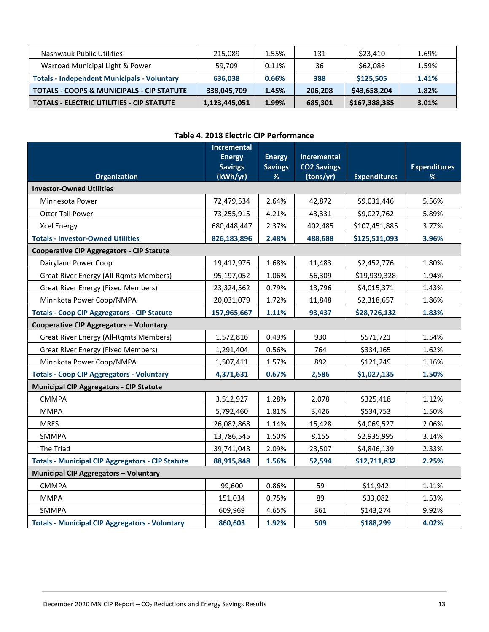| Nashwauk Public Utilities                            | 215.089       | 1.55% | 131     | \$23,410      | 1.69% |
|------------------------------------------------------|---------------|-------|---------|---------------|-------|
| Warroad Municipal Light & Power                      | 59.709        | 0.11% | 36      | \$62,086      | 1.59% |
| <b>Totals - Independent Municipals - Voluntary</b>   | 636.038       | 0.66% | 388     | \$125,505     | 1.41% |
| <b>TOTALS - COOPS &amp; MUNICIPALS - CIP STATUTE</b> | 338,045,709   | 1.45% | 206.208 | \$43,658,204  | 1.82% |
| <b>TOTALS - ELECTRIC UTILITIES - CIP STATUTE</b>     | 1,123,445,051 | 1.99% | 685,301 | \$167,388,385 | 3.01% |

### **Table 4. 2018 Electric CIP Performance**

|                                                         | <b>Incremental</b>         |                     |                                 |                     |                          |
|---------------------------------------------------------|----------------------------|---------------------|---------------------------------|---------------------|--------------------------|
|                                                         | <b>Energy</b>              | <b>Energy</b>       | <b>Incremental</b>              |                     |                          |
| <b>Organization</b>                                     | <b>Savings</b><br>(kWh/yr) | <b>Savings</b><br>% | <b>CO2 Savings</b><br>(tons/yr) | <b>Expenditures</b> | <b>Expenditures</b><br>% |
| <b>Investor-Owned Utilities</b>                         |                            |                     |                                 |                     |                          |
| Minnesota Power                                         | 72,479,534                 | 2.64%               | 42,872                          | \$9,031,446         | 5.56%                    |
| <b>Otter Tail Power</b>                                 | 73,255,915                 | 4.21%               | 43,331                          | \$9,027,762         | 5.89%                    |
| <b>Xcel Energy</b>                                      | 680,448,447                | 2.37%               | 402,485                         | \$107,451,885       | 3.77%                    |
| <b>Totals - Investor-Owned Utilities</b>                | 826,183,896                | 2.48%               | 488,688                         | \$125,511,093       | 3.96%                    |
| <b>Cooperative CIP Aggregators - CIP Statute</b>        |                            |                     |                                 |                     |                          |
| Dairyland Power Coop                                    | 19,412,976                 | 1.68%               | 11,483                          | \$2,452,776         | 1.80%                    |
| <b>Great River Energy (All-Rqmts Members)</b>           | 95,197,052                 | 1.06%               | 56,309                          | \$19,939,328        | 1.94%                    |
| <b>Great River Energy (Fixed Members)</b>               | 23,324,562                 | 0.79%               | 13,796                          | \$4,015,371         | 1.43%                    |
| Minnkota Power Coop/NMPA                                | 20,031,079                 | 1.72%               | 11,848                          | \$2,318,657         | 1.86%                    |
| <b>Totals - Coop CIP Aggregators - CIP Statute</b>      | 157,965,667                | 1.11%               | 93,437                          | \$28,726,132        | 1.83%                    |
| <b>Cooperative CIP Aggregators - Voluntary</b>          |                            |                     |                                 |                     |                          |
| <b>Great River Energy (All-Rqmts Members)</b>           | 1,572,816                  | 0.49%               | 930                             | \$571,721           | 1.54%                    |
| <b>Great River Energy (Fixed Members)</b>               | 1,291,404                  | 0.56%               | 764                             | \$334,165           | 1.62%                    |
| Minnkota Power Coop/NMPA                                | 1,507,411                  | 1.57%               | 892                             | \$121,249           | 1.16%                    |
| <b>Totals - Coop CIP Aggregators - Voluntary</b>        | 4,371,631                  | 0.67%               | 2,586                           | \$1,027,135         | 1.50%                    |
| <b>Municipal CIP Aggregators - CIP Statute</b>          |                            |                     |                                 |                     |                          |
| <b>CMMPA</b>                                            | 3,512,927                  | 1.28%               | 2,078                           | \$325,418           | 1.12%                    |
| <b>MMPA</b>                                             | 5,792,460                  | 1.81%               | 3,426                           | \$534,753           | 1.50%                    |
| <b>MRES</b>                                             | 26,082,868                 | 1.14%               | 15,428                          | \$4,069,527         | 2.06%                    |
| <b>SMMPA</b>                                            | 13,786,545                 | 1.50%               | 8,155                           | \$2,935,995         | 3.14%                    |
| The Triad                                               | 39,741,048                 | 2.09%               | 23,507                          | \$4,846,139         | 2.33%                    |
| <b>Totals - Municipal CIP Aggregators - CIP Statute</b> | 88,915,848                 | 1.56%               | 52,594                          | \$12,711,832        | 2.25%                    |
| <b>Municipal CIP Aggregators - Voluntary</b>            |                            |                     |                                 |                     |                          |
| <b>CMMPA</b>                                            | 99,600                     | 0.86%               | 59                              | \$11,942            | 1.11%                    |
| <b>MMPA</b>                                             | 151,034                    | 0.75%               | 89                              | \$33,082            | 1.53%                    |
| <b>SMMPA</b>                                            | 609,969                    | 4.65%               | 361                             | \$143,274           | 9.92%                    |
| <b>Totals - Municipal CIP Aggregators - Voluntary</b>   | 860,603                    | 1.92%               | 509                             | \$188,299           | 4.02%                    |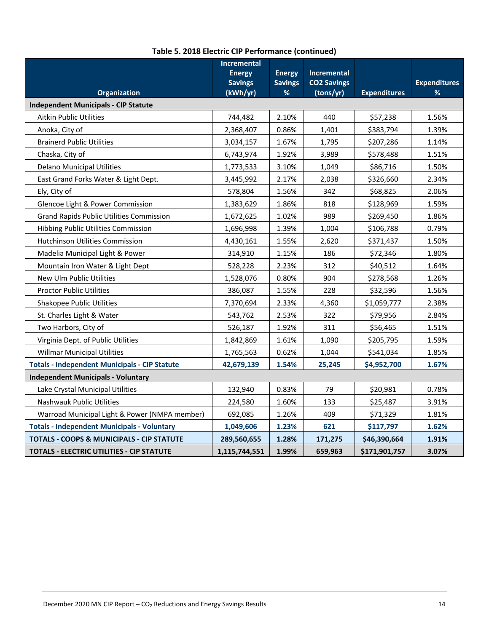|                                                      | <b>Incremental</b>         |                     |                                 |                     |                          |
|------------------------------------------------------|----------------------------|---------------------|---------------------------------|---------------------|--------------------------|
|                                                      | <b>Energy</b>              | <b>Energy</b>       | <b>Incremental</b>              |                     |                          |
| <b>Organization</b>                                  | <b>Savings</b><br>(kWh/yr) | <b>Savings</b><br>% | <b>CO2 Savings</b><br>(tons/yr) | <b>Expenditures</b> | <b>Expenditures</b><br>% |
| <b>Independent Municipals - CIP Statute</b>          |                            |                     |                                 |                     |                          |
| <b>Aitkin Public Utilities</b>                       | 744,482                    | 2.10%               | 440                             | \$57,238            | 1.56%                    |
|                                                      |                            |                     |                                 |                     |                          |
| Anoka, City of                                       | 2,368,407                  | 0.86%               | 1,401                           | \$383,794           | 1.39%                    |
| <b>Brainerd Public Utilities</b>                     | 3,034,157                  | 1.67%               | 1,795                           | \$207,286           | 1.14%                    |
| Chaska, City of                                      | 6,743,974                  | 1.92%               | 3,989                           | \$578,488           | 1.51%                    |
| <b>Delano Municipal Utilities</b>                    | 1,773,533                  | 3.10%               | 1,049                           | \$86,716            | 1.50%                    |
| East Grand Forks Water & Light Dept.                 | 3,445,992                  | 2.17%               | 2,038                           | \$326,660           | 2.34%                    |
| Ely, City of                                         | 578,804                    | 1.56%               | 342                             | \$68,825            | 2.06%                    |
| Glencoe Light & Power Commission                     | 1,383,629                  | 1.86%               | 818                             | \$128,969           | 1.59%                    |
| <b>Grand Rapids Public Utilities Commission</b>      | 1,672,625                  | 1.02%               | 989                             | \$269,450           | 1.86%                    |
| Hibbing Public Utilities Commission                  | 1,696,998                  | 1.39%               | 1,004                           | \$106,788           | 0.79%                    |
| Hutchinson Utilities Commission                      | 4,430,161                  | 1.55%               | 2,620                           | \$371,437           | 1.50%                    |
| Madelia Municipal Light & Power                      | 314,910                    | 1.15%               | 186                             | \$72,346            | 1.80%                    |
| Mountain Iron Water & Light Dept                     | 528,228                    | 2.23%               | 312                             | \$40,512            | 1.64%                    |
| New Ulm Public Utilities                             | 1,528,076                  | 0.80%               | 904                             | \$278,568           | 1.26%                    |
| <b>Proctor Public Utilities</b>                      | 386,087                    | 1.55%               | 228                             | \$32,596            | 1.56%                    |
| <b>Shakopee Public Utilities</b>                     | 7,370,694                  | 2.33%               | 4,360                           | \$1,059,777         | 2.38%                    |
| St. Charles Light & Water                            | 543,762                    | 2.53%               | 322                             | \$79,956            | 2.84%                    |
| Two Harbors, City of                                 | 526,187                    | 1.92%               | 311                             | \$56,465            | 1.51%                    |
| Virginia Dept. of Public Utilities                   | 1,842,869                  | 1.61%               | 1,090                           | \$205,795           | 1.59%                    |
| <b>Willmar Municipal Utilities</b>                   | 1,765,563                  | 0.62%               | 1,044                           | \$541,034           | 1.85%                    |
| <b>Totals - Independent Municipals - CIP Statute</b> | 42,679,139                 | 1.54%               | 25,245                          | \$4,952,700         | 1.67%                    |
| <b>Independent Municipals - Voluntary</b>            |                            |                     |                                 |                     |                          |
| Lake Crystal Municipal Utilities                     | 132,940                    | 0.83%               | 79                              | \$20,981            | 0.78%                    |
| Nashwauk Public Utilities                            | 224,580                    | 1.60%               | 133                             | \$25,487            | 3.91%                    |
| Warroad Municipal Light & Power (NMPA member)        | 692,085                    | 1.26%               | 409                             | \$71,329            | 1.81%                    |
| <b>Totals - Independent Municipals - Voluntary</b>   | 1,049,606                  | 1.23%               | 621                             | \$117,797           | 1.62%                    |
| TOTALS - COOPS & MUNICIPALS - CIP STATUTE            | 289,560,655                | 1.28%               | 171,275                         | \$46,390,664        | 1.91%                    |
| TOTALS - ELECTRIC UTILITIES - CIP STATUTE            | 1,115,744,551              | 1.99%               | 659,963                         | \$171,901,757       | 3.07%                    |

### **Table 5. 2018 Electric CIP Performance (continued)**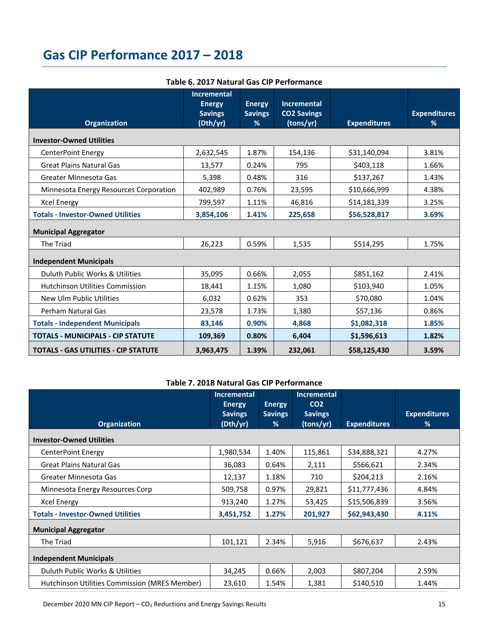# <span id="page-14-0"></span>**Gas CIP Performance 2017 – 2018**

| <b>Organization</b>                         | <b>Incremental</b><br><b>Energy</b><br><b>Savings</b><br>(Dth/yr) | <b>Energy</b><br><b>Savings</b><br>% | <b>Incremental</b><br><b>CO2 Savings</b><br>(tons/yr) | <b>Expenditures</b> | <b>Expenditures</b><br>% |
|---------------------------------------------|-------------------------------------------------------------------|--------------------------------------|-------------------------------------------------------|---------------------|--------------------------|
| <b>Investor-Owned Utilities</b>             |                                                                   |                                      |                                                       |                     |                          |
| <b>CenterPoint Energy</b>                   | 2,632,545                                                         | 1.87%                                | 154,136                                               | \$31,140,094        | 3.81%                    |
| <b>Great Plains Natural Gas</b>             | 13,577                                                            | 0.24%                                | 795                                                   | \$403,118           | 1.66%                    |
| Greater Minnesota Gas                       | 5,398                                                             | 0.48%                                | 316                                                   | \$137,267           | 1.43%                    |
| Minnesota Energy Resources Corporation      | 402,989                                                           | 0.76%                                | 23,595                                                | \$10,666,999        | 4.38%                    |
| <b>Xcel Energy</b>                          | 799,597                                                           | 1.11%                                | 46,816                                                | \$14,181,339        | 3.25%                    |
| <b>Totals - Investor-Owned Utilities</b>    | 3,854,106                                                         | 1.41%                                | 225,658                                               | \$56,528,817        | 3.69%                    |
| <b>Municipal Aggregator</b>                 |                                                                   |                                      |                                                       |                     |                          |
| The Triad                                   | 26,223                                                            | 0.59%                                | 1,535                                                 | \$514.295           | 1.75%                    |
| <b>Independent Municipals</b>               |                                                                   |                                      |                                                       |                     |                          |
| Duluth Public Works & Utilities             | 35,095                                                            | 0.66%                                | 2,055                                                 | \$851,162           | 2.41%                    |
| <b>Hutchinson Utilities Commission</b>      | 18,441                                                            | 1.15%                                | 1,080                                                 | \$103,940           | 1.05%                    |
| New Ulm Public Utilities                    | 6,032                                                             | 0.62%                                | 353                                                   | \$70,080            | 1.04%                    |
| Perham Natural Gas                          | 23,578                                                            | 1.73%                                | 1,380                                                 | \$57,136            | 0.86%                    |
| <b>Totals - Independent Municipals</b>      | 83,146                                                            | 0.90%                                | 4,868                                                 | \$1,082,318         | 1.85%                    |
| <b>TOTALS - MUNICIPALS - CIP STATUTE</b>    | 109,369                                                           | 0.80%                                | 6,404                                                 | \$1,596,613         | 1.82%                    |
| <b>TOTALS - GAS UTILITIES - CIP STATUTE</b> | 3,963,475                                                         | 1.39%                                | 232,061                                               | \$58,125,430        | 3.59%                    |

### **Table 6. 2017 Natural Gas CIP Performance**

### **Table 7. 2018 Natural Gas CIP Performance**

|                                               | <b>Incremental</b><br><b>Energy</b> | <b>Energy</b>  | <b>Incremental</b><br>CO <sub>2</sub> |                     |                     |
|-----------------------------------------------|-------------------------------------|----------------|---------------------------------------|---------------------|---------------------|
|                                               | <b>Savings</b>                      | <b>Savings</b> | <b>Savings</b>                        |                     | <b>Expenditures</b> |
| <b>Organization</b>                           | (Dth/yr)                            | %              | (tons/yr)                             | <b>Expenditures</b> | %                   |
| <b>Investor-Owned Utilities</b>               |                                     |                |                                       |                     |                     |
| CenterPoint Energy                            | 1,980,534                           | 1.40%          | 115,861                               | \$34,888,321        | 4.27%               |
| <b>Great Plains Natural Gas</b>               | 36,083                              | 0.64%          | 2,111                                 | \$566,621           | 2.34%               |
| Greater Minnesota Gas                         | 12,137                              | 1.18%          | 710                                   | \$204,213           | 2.16%               |
| Minnesota Energy Resources Corp               | 509,758                             | 0.97%          | 29,821                                | \$11,777,436        | 4.84%               |
| <b>Xcel Energy</b>                            | 913,240                             | 1.27%          | 53,425                                | \$15,506,839        | 3.56%               |
| <b>Totals - Investor-Owned Utilities</b>      | 3,451,752                           | 1.27%          | 201,927                               | \$62,943,430        | 4.11%               |
| <b>Municipal Aggregator</b>                   |                                     |                |                                       |                     |                     |
| The Triad                                     | 101,121                             | 2.34%          | 5,916                                 | \$676,637           | 2.43%               |
| <b>Independent Municipals</b>                 |                                     |                |                                       |                     |                     |
| Duluth Public Works & Utilities               | 34,245                              | 0.66%          | 2,003                                 | \$807,204           | 2.59%               |
| Hutchinson Utilities Commission (MRES Member) | 23,610                              | 1.54%          | 1,381                                 | \$140,510           | 1.44%               |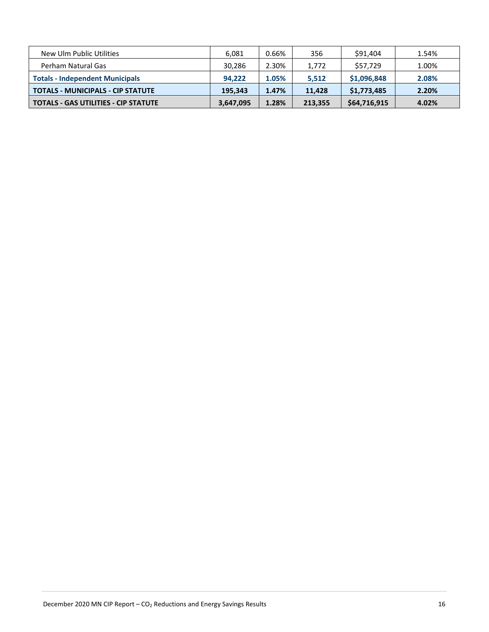| New Ulm Public Utilities                    | 6.081     | 0.66% | 356     | \$91,404     | 1.54% |
|---------------------------------------------|-----------|-------|---------|--------------|-------|
| Perham Natural Gas                          | 30,286    | 2.30% | 1,772   | \$57.729     | 1.00% |
| <b>Totals - Independent Municipals</b>      | 94.222    | 1.05% | 5,512   | \$1,096,848  | 2.08% |
| <b>TOTALS - MUNICIPALS - CIP STATUTE</b>    | 195.343   | 1.47% | 11,428  | \$1,773,485  | 2.20% |
| <b>TOTALS - GAS UTILITIES - CIP STATUTE</b> | 3,647,095 | 1.28% | 213,355 | \$64,716,915 | 4.02% |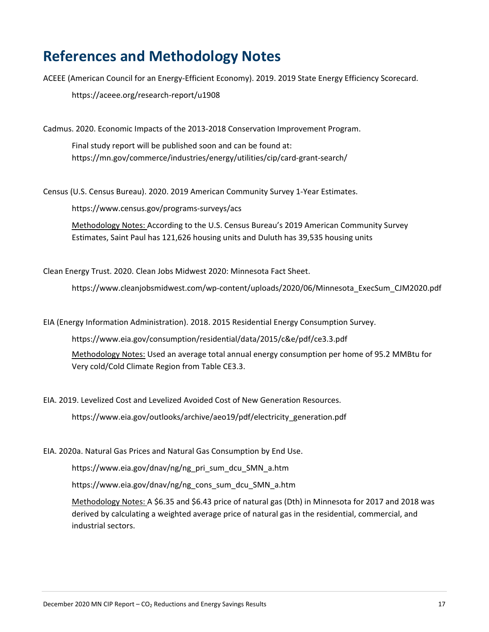# <span id="page-16-0"></span>**References and Methodology Notes**

ACEEE (American Council for an Energy-Efficient Economy). 2019. 2019 State Energy Efficiency Scorecard.

https://aceee.org/research-report/u1908

Cadmus. 2020. Economic Impacts of the 2013-2018 Conservation Improvement Program.

Final study report will be published soon and can be found at: https://mn.gov/commerce/industries/energy/utilities/cip/card-grant-search/

Census (U.S. Census Bureau). 2020. 2019 American Community Survey 1-Year Estimates.

https://www.census.gov/programs-surveys/acs

Methodology Notes: According to the U.S. Census Bureau's 2019 American Community Survey Estimates, Saint Paul has 121,626 housing units and Duluth has 39,535 housing units

Clean Energy Trust. 2020. Clean Jobs Midwest 2020: Minnesota Fact Sheet.

https://www.cleanjobsmidwest.com/wp-content/uploads/2020/06/Minnesota\_ExecSum\_CJM2020.pdf

EIA (Energy Information Administration). 2018. 2015 Residential Energy Consumption Survey.

https://www.eia.gov/consumption/residential/data/2015/c&e/pdf/ce3.3.pdf

Methodology Notes: Used an average total annual energy consumption per home of 95.2 MMBtu for Very cold/Cold Climate Region from Table CE3.3.

EIA. 2019. Levelized Cost and Levelized Avoided Cost of New Generation Resources.

https://www.eia.gov/outlooks/archive/aeo19/pdf/electricity\_generation.pdf

EIA. 2020a. Natural Gas Prices and Natural Gas Consumption by End Use.

https://www.eia.gov/dnav/ng/ng\_pri\_sum\_dcu\_SMN\_a.htm

https://www.eia.gov/dnav/ng/ng\_cons\_sum\_dcu\_SMN\_a.htm

Methodology Notes: A \$6.35 and \$6.43 price of natural gas (Dth) in Minnesota for 2017 and 2018 was derived by calculating a weighted average price of natural gas in the residential, commercial, and industrial sectors.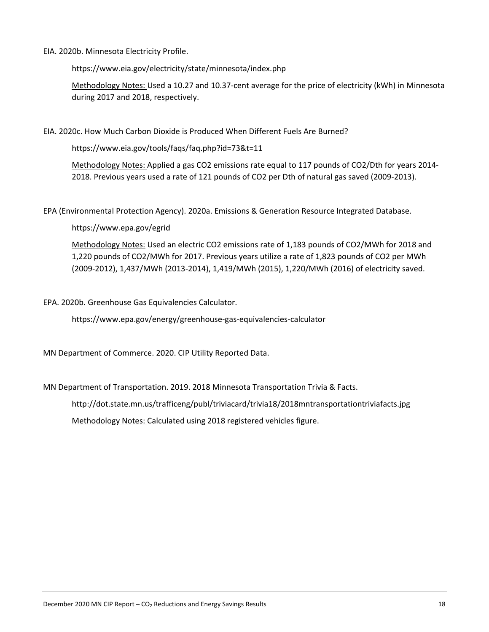### EIA. 2020b. Minnesota Electricity Profile.

https://www.eia.gov/electricity/state/minnesota/index.php

Methodology Notes: Used a 10.27 and 10.37-cent average for the price of electricity (kWh) in Minnesota during 2017 and 2018, respectively.

EIA. 2020c. How Much Carbon Dioxide is Produced When Different Fuels Are Burned?

https://www.eia.gov/tools/faqs/faq.php?id=73&t=11

Methodology Notes: Applied a gas CO2 emissions rate equal to 117 pounds of CO2/Dth for years 2014- 2018. Previous years used a rate of 121 pounds of CO2 per Dth of natural gas saved (2009-2013).

EPA (Environmental Protection Agency). 2020a. Emissions & Generation Resource Integrated Database.

https://www.epa.gov/egrid

Methodology Notes: Used an electric CO2 emissions rate of 1,183 pounds of CO2/MWh for 2018 and 1,220 pounds of CO2/MWh for 2017. Previous years utilize a rate of 1,823 pounds of CO2 per MWh (2009-2012), 1,437/MWh (2013-2014), 1,419/MWh (2015), 1,220/MWh (2016) of electricity saved.

EPA. 2020b. Greenhouse Gas Equivalencies Calculator.

https://www.epa.gov/energy/greenhouse-gas-equivalencies-calculator

MN Department of Commerce. 2020. CIP Utility Reported Data.

MN Department of Transportation. 2019. 2018 Minnesota Transportation Trivia & Facts.

http://dot.state.mn.us/trafficeng/publ/triviacard/trivia18/2018mntransportationtriviafacts.jpg Methodology Notes: Calculated using 2018 registered vehicles figure.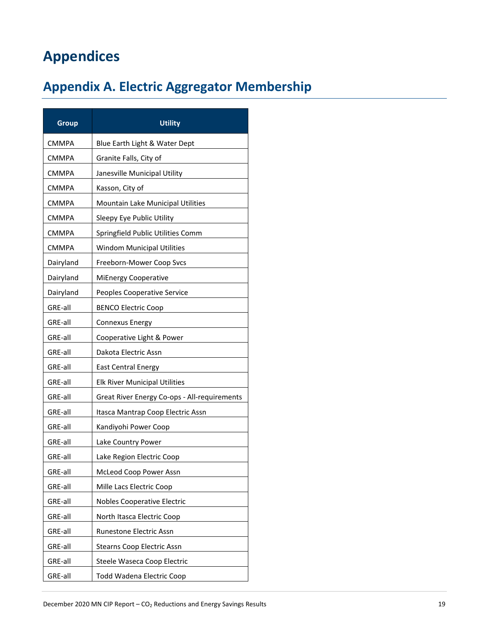# <span id="page-18-0"></span>**Appendices**

# <span id="page-18-1"></span>**Appendix A. Electric Aggregator Membership**

| <b>Group</b> | <b>Utility</b>                               |
|--------------|----------------------------------------------|
| CMMPA        | Blue Earth Light & Water Dept                |
| CMMPA        | Granite Falls, City of                       |
| CMMPA        | Janesville Municipal Utility                 |
| <b>CMMPA</b> | Kasson, City of                              |
| <b>CMMPA</b> | Mountain Lake Municipal Utilities            |
| <b>CMMPA</b> | Sleepy Eye Public Utility                    |
| <b>CMMPA</b> | Springfield Public Utilities Comm            |
| CMMPA        | <b>Windom Municipal Utilities</b>            |
| Dairyland    | Freeborn-Mower Coop Svcs                     |
| Dairyland    | <b>MiEnergy Cooperative</b>                  |
| Dairyland    | Peoples Cooperative Service                  |
| GRE-all      | <b>BENCO Electric Coop</b>                   |
| GRE-all      | Connexus Energy                              |
| GRE-all      | Cooperative Light & Power                    |
| GRE-all      | Dakota Electric Assn                         |
| GRE-all      | <b>East Central Energy</b>                   |
| GRE-all      | <b>Elk River Municipal Utilities</b>         |
| GRE-all      | Great River Energy Co-ops - All-requirements |
| GRE-all      | Itasca Mantrap Coop Electric Assn            |
| GRE-all      | Kandiyohi Power Coop                         |
| GRE-all      | Lake Country Power                           |
| GRE-all      | Lake Region Electric Coop                    |
| GRE-all      | McLeod Coop Power Assn                       |
| GRE-all      | Mille Lacs Electric Coop                     |
| GRE-all      | Nobles Cooperative Electric                  |
| GRE-all      | North Itasca Electric Coop                   |
| GRE-all      | Runestone Electric Assn                      |
| GRE-all      | <b>Stearns Coop Electric Assn</b>            |
| GRE-all      | Steele Waseca Coop Electric                  |
| GRE-all      | <b>Todd Wadena Electric Coop</b>             |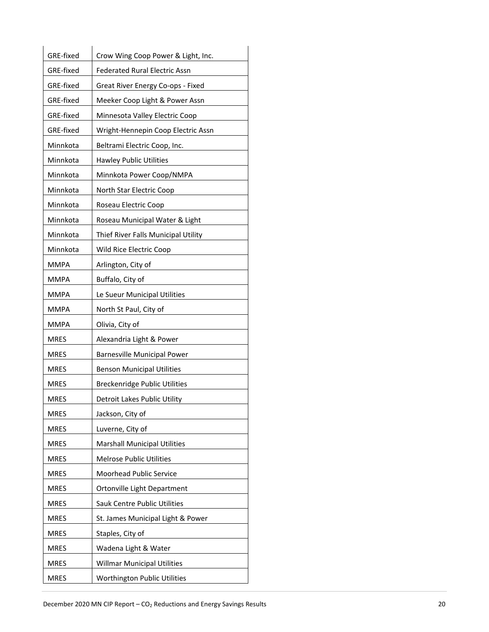| GRE-fixed   | Crow Wing Coop Power & Light, Inc.   |
|-------------|--------------------------------------|
| GRE-fixed   | <b>Federated Rural Electric Assn</b> |
| GRE-fixed   | Great River Energy Co-ops - Fixed    |
| GRE-fixed   | Meeker Coop Light & Power Assn       |
| GRE-fixed   | Minnesota Valley Electric Coop       |
| GRE-fixed   | Wright-Hennepin Coop Electric Assn   |
| Minnkota    | Beltrami Electric Coop, Inc.         |
| Minnkota    | <b>Hawley Public Utilities</b>       |
| Minnkota    | Minnkota Power Coop/NMPA             |
| Minnkota    | North Star Electric Coop             |
| Minnkota    | Roseau Electric Coop                 |
| Minnkota    | Roseau Municipal Water & Light       |
| Minnkota    | Thief River Falls Municipal Utility  |
| Minnkota    | Wild Rice Electric Coop              |
| MMPA        | Arlington, City of                   |
| <b>MMPA</b> | Buffalo, City of                     |
| MMPA        | Le Sueur Municipal Utilities         |
| <b>MMPA</b> | North St Paul, City of               |
| MMPA        | Olivia, City of                      |
| MRES        | Alexandria Light & Power             |
| <b>MRES</b> | <b>Barnesville Municipal Power</b>   |
| <b>MRES</b> | <b>Benson Municipal Utilities</b>    |
| MRES        | Breckenridge Public Utilities        |
| MRES        | Detroit Lakes Public Utility         |
| <b>MRES</b> | Jackson, City of                     |
| <b>MRES</b> | Luverne, City of                     |
| <b>MRES</b> | <b>Marshall Municipal Utilities</b>  |
| <b>MRES</b> | <b>Melrose Public Utilities</b>      |
| <b>MRES</b> | Moorhead Public Service              |
| <b>MRES</b> | Ortonville Light Department          |
| <b>MRES</b> | Sauk Centre Public Utilities         |
| <b>MRES</b> | St. James Municipal Light & Power    |
| <b>MRES</b> | Staples, City of                     |
| <b>MRES</b> | Wadena Light & Water                 |
| <b>MRES</b> | <b>Willmar Municipal Utilities</b>   |
| <b>MRES</b> | Worthington Public Utilities         |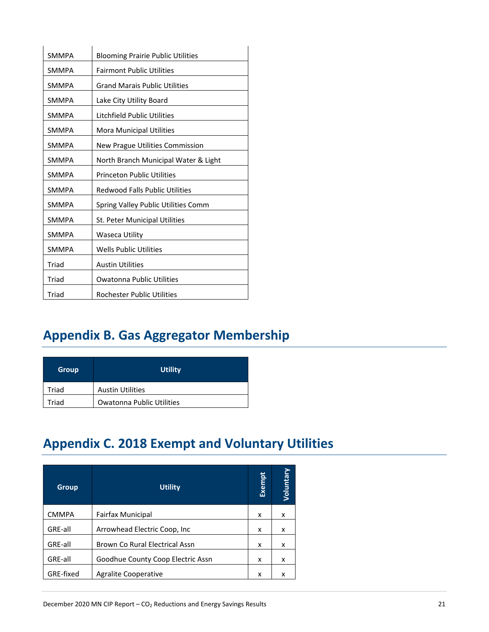| <b>SMMPA</b> | <b>Blooming Prairie Public Utilities</b> |
|--------------|------------------------------------------|
| <b>SMMPA</b> | <b>Fairmont Public Utilities</b>         |
| <b>SMMPA</b> | <b>Grand Marais Public Utilities</b>     |
| <b>SMMPA</b> | Lake City Utility Board                  |
| <b>SMMPA</b> | Litchfield Public Utilities              |
| <b>SMMPA</b> | Mora Municipal Utilities                 |
| <b>SMMPA</b> | New Prague Utilities Commission          |
| <b>SMMPA</b> | North Branch Municipal Water & Light     |
| <b>SMMPA</b> | <b>Princeton Public Utilities</b>        |
| <b>SMMPA</b> | <b>Redwood Falls Public Utilities</b>    |
| <b>SMMPA</b> | Spring Valley Public Utilities Comm      |
| <b>SMMPA</b> | St. Peter Municipal Utilities            |
| <b>SMMPA</b> | Waseca Utility                           |
| <b>SMMPA</b> | <b>Wells Public Utilities</b>            |
| Triad        | <b>Austin Utilities</b>                  |
| Triad        | <b>Owatonna Public Utilities</b>         |
| Triad        | <b>Rochester Public Utilities</b>        |

# <span id="page-20-0"></span>**Appendix B. Gas Aggregator Membership**

| Group | <b>Utility</b>            |
|-------|---------------------------|
| Triad | <b>Austin Utilities</b>   |
| Triad | Owatonna Public Utilities |

# <span id="page-20-1"></span>**Appendix C. 2018 Exempt and Voluntary Utilities**

| <b>Group</b> | <b>Utility</b>                        | Exempt | Voluntary |
|--------------|---------------------------------------|--------|-----------|
| <b>CMMPA</b> | <b>Fairfax Municipal</b>              | x      | x         |
| GRE-all      | Arrowhead Electric Coop, Inc.         | x      | x         |
| GRE-all      | <b>Brown Co Rural Electrical Assn</b> | x      | x         |
| GRE-all      | Goodhue County Coop Electric Assn     | x      | x         |
| GRE-fixed    | Agralite Cooperative                  | x      | x         |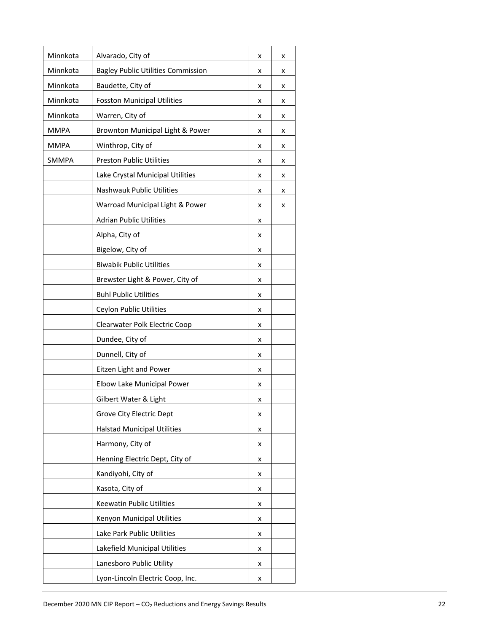| Minnkota    | Alvarado, City of                         | x | x |
|-------------|-------------------------------------------|---|---|
| Minnkota    | <b>Bagley Public Utilities Commission</b> | x | x |
| Minnkota    | Baudette, City of                         | x | x |
| Minnkota    | <b>Fosston Municipal Utilities</b>        | x | x |
| Minnkota    | Warren, City of                           | x | x |
| <b>MMPA</b> | Brownton Municipal Light & Power          | x | x |
| <b>MMPA</b> | Winthrop, City of                         | x | x |
| SMMPA       | <b>Preston Public Utilities</b>           | x | x |
|             | Lake Crystal Municipal Utilities          | x | x |
|             | Nashwauk Public Utilities                 | x | x |
|             | Warroad Municipal Light & Power           | x | x |
|             | <b>Adrian Public Utilities</b>            | x |   |
|             | Alpha, City of                            | x |   |
|             | Bigelow, City of                          | x |   |
|             | <b>Biwabik Public Utilities</b>           | x |   |
|             | Brewster Light & Power, City of           | x |   |
|             | <b>Buhl Public Utilities</b>              | x |   |
|             | Ceylon Public Utilities                   | x |   |
|             | Clearwater Polk Electric Coop             | x |   |
|             | Dundee, City of                           | x |   |
|             | Dunnell, City of                          | x |   |
|             | Eitzen Light and Power                    | x |   |
|             | Elbow Lake Municipal Power                | x |   |
|             | Gilbert Water & Light                     | X |   |
|             | Grove City Electric Dept                  | x |   |
|             | <b>Halstad Municipal Utilities</b>        | x |   |
|             | Harmony, City of                          | x |   |
|             | Henning Electric Dept, City of            | x |   |
|             | Kandiyohi, City of                        | x |   |
|             | Kasota, City of                           | x |   |
|             | Keewatin Public Utilities                 | x |   |
|             | Kenyon Municipal Utilities                | x |   |
|             | Lake Park Public Utilities                | x |   |
|             | Lakefield Municipal Utilities             | x |   |
|             | Lanesboro Public Utility                  | x |   |
|             | Lyon-Lincoln Electric Coop, Inc.          | x |   |